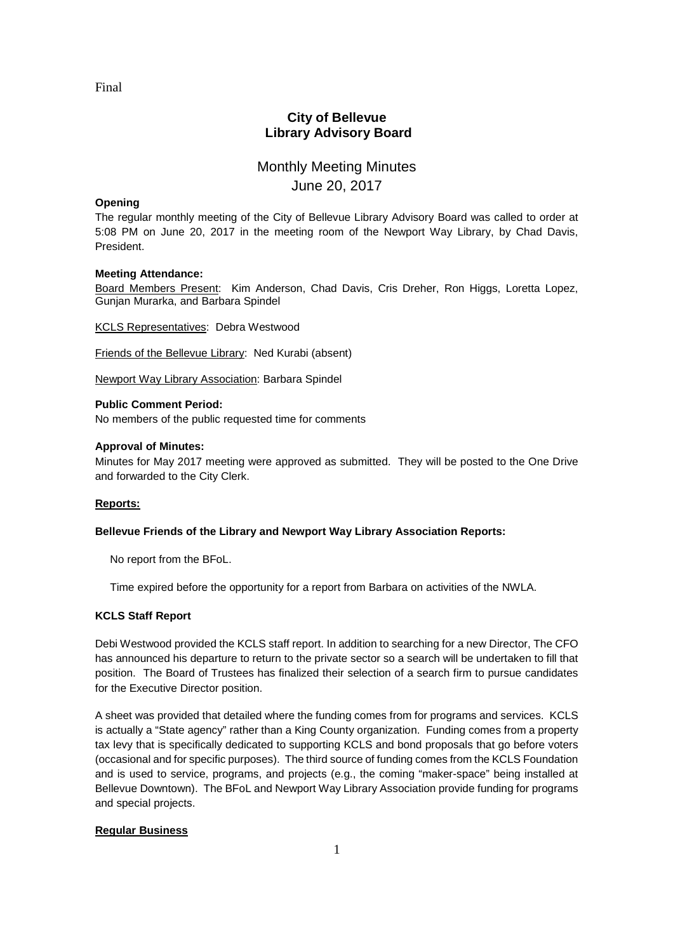Final

# **City of Bellevue Library Advisory Board**

# Monthly Meeting Minutes June 20, 2017

### **Opening**

The regular monthly meeting of the City of Bellevue Library Advisory Board was called to order at 5:08 PM on June 20, 2017 in the meeting room of the Newport Way Library, by Chad Davis, President.

### **Meeting Attendance:**

Board Members Present: Kim Anderson, Chad Davis, Cris Dreher, Ron Higgs, Loretta Lopez, Gunjan Murarka, and Barbara Spindel

KCLS Representatives: Debra Westwood

Friends of the Bellevue Library: Ned Kurabi (absent)

Newport Way Library Association: Barbara Spindel

### **Public Comment Period:**

No members of the public requested time for comments

### **Approval of Minutes:**

Minutes for May 2017 meeting were approved as submitted. They will be posted to the One Drive and forwarded to the City Clerk.

# **Reports:**

# **Bellevue Friends of the Library and Newport Way Library Association Reports:**

No report from the BFoL.

Time expired before the opportunity for a report from Barbara on activities of the NWLA.

# **KCLS Staff Report**

Debi Westwood provided the KCLS staff report. In addition to searching for a new Director, The CFO has announced his departure to return to the private sector so a search will be undertaken to fill that position. The Board of Trustees has finalized their selection of a search firm to pursue candidates for the Executive Director position.

A sheet was provided that detailed where the funding comes from for programs and services. KCLS is actually a "State agency" rather than a King County organization. Funding comes from a property tax levy that is specifically dedicated to supporting KCLS and bond proposals that go before voters (occasional and for specific purposes). The third source of funding comes from the KCLS Foundation and is used to service, programs, and projects (e.g., the coming "maker-space" being installed at Bellevue Downtown). The BFoL and Newport Way Library Association provide funding for programs and special projects.

# **Regular Business**